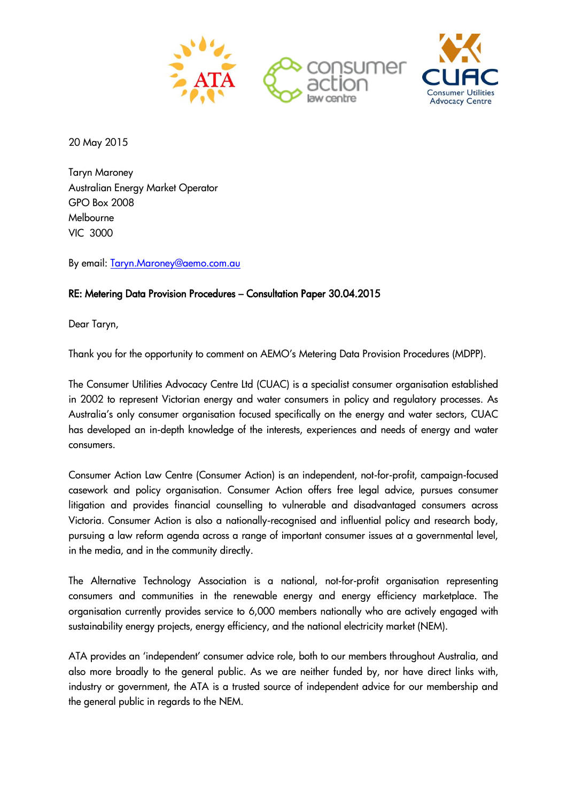



20 May 2015

Taryn Maroney Australian Energy Market Operator GPO Box 2008 Melbourne VIC 3000

By email: [Taryn.Maroney@aemo.com.au](mailto:Taryn.Maroney@aemo.com.au)

## RE: Metering Data Provision Procedures – Consultation Paper 30.04.2015

Dear Taryn,

Thank you for the opportunity to comment on AEMO's Metering Data Provision Procedures (MDPP).

The Consumer Utilities Advocacy Centre Ltd (CUAC) is a specialist consumer organisation established in 2002 to represent Victorian energy and water consumers in policy and regulatory processes. As Australia's only consumer organisation focused specifically on the energy and water sectors, CUAC has developed an in-depth knowledge of the interests, experiences and needs of energy and water consumers.

Consumer Action Law Centre (Consumer Action) is an independent, not-for-profit, campaign-focused casework and policy organisation. Consumer Action offers free legal advice, pursues consumer litigation and provides financial counselling to vulnerable and disadvantaged consumers across Victoria. Consumer Action is also a nationally-recognised and influential policy and research body, pursuing a law reform agenda across a range of important consumer issues at a governmental level, in the media, and in the community directly.

The Alternative Technology Association is a national, not-for-profit organisation representing consumers and communities in the renewable energy and energy efficiency marketplace. The organisation currently provides service to 6,000 members nationally who are actively engaged with sustainability energy projects, energy efficiency, and the national electricity market (NEM).

ATA provides an 'independent' consumer advice role, both to our members throughout Australia, and also more broadly to the general public. As we are neither funded by, nor have direct links with, industry or government, the ATA is a trusted source of independent advice for our membership and the general public in regards to the NEM.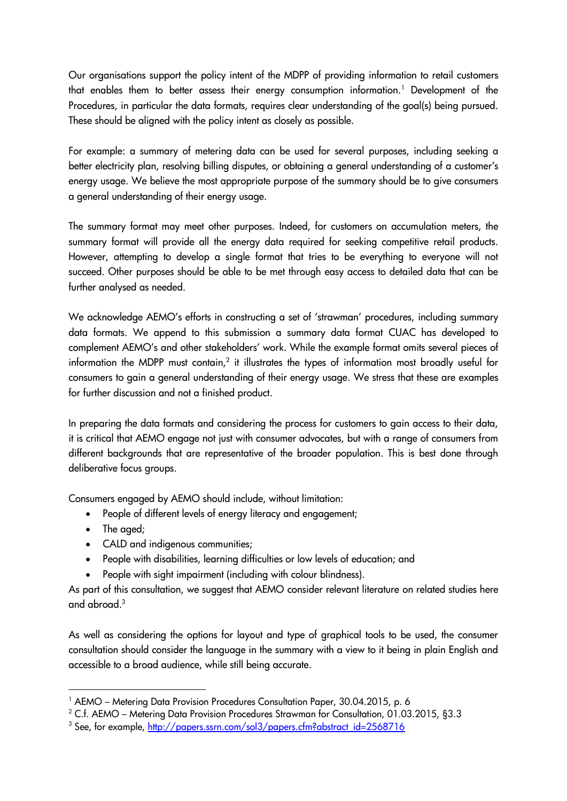Our organisations support the policy intent of the MDPP of providing information to retail customers that enables them to better assess their energy consumption information.<sup>1</sup> Development of the Procedures, in particular the data formats, requires clear understanding of the goal(s) being pursued. These should be aligned with the policy intent as closely as possible.

For example: a summary of metering data can be used for several purposes, including seeking a better electricity plan, resolving billing disputes, or obtaining a general understanding of a customer's energy usage. We believe the most appropriate purpose of the summary should be to give consumers a general understanding of their energy usage.

The summary format may meet other purposes. Indeed, for customers on accumulation meters, the summary format will provide all the energy data required for seeking competitive retail products. However, attempting to develop a single format that tries to be everything to everyone will not succeed. Other purposes should be able to be met through easy access to detailed data that can be further analysed as needed.

We acknowledge AEMO's efforts in constructing a set of 'strawman' procedures, including summary data formats. We append to this submission a summary data format CUAC has developed to complement AEMO's and other stakeholders' work. While the example format omits several pieces of information the MDPP must contain,<sup>2</sup> it illustrates the types of information most broadly useful for consumers to gain a general understanding of their energy usage. We stress that these are examples for further discussion and not a finished product.

In preparing the data formats and considering the process for customers to gain access to their data, it is critical that AEMO engage not just with consumer advocates, but with a range of consumers from different backgrounds that are representative of the broader population. This is best done through deliberative focus groups.

Consumers engaged by AEMO should include, without limitation:

- People of different levels of energy literacy and engagement;
- The aged;

-

- CALD and indigenous communities;
- People with disabilities, learning difficulties or low levels of education; and
- People with sight impairment (including with colour blindness).

As part of this consultation, we suggest that AEMO consider relevant literature on related studies here and abroad.<sup>3</sup>

As well as considering the options for layout and type of graphical tools to be used, the consumer consultation should consider the language in the summary with a view to it being in plain English and accessible to a broad audience, while still being accurate.

<sup>&</sup>lt;sup>1</sup> AEMO – Metering Data Provision Procedures Consultation Paper, 30.04.2015, p. 6

<sup>2</sup> C.f. AEMO – Metering Data Provision Procedures Strawman for Consultation, 01.03.2015, §3.3

<sup>&</sup>lt;sup>3</sup> See, for example, [http://papers.ssrn.com/sol3/papers.cfm?abstract\\_id=2568716](http://papers.ssrn.com/sol3/papers.cfm?abstract_id=2568716)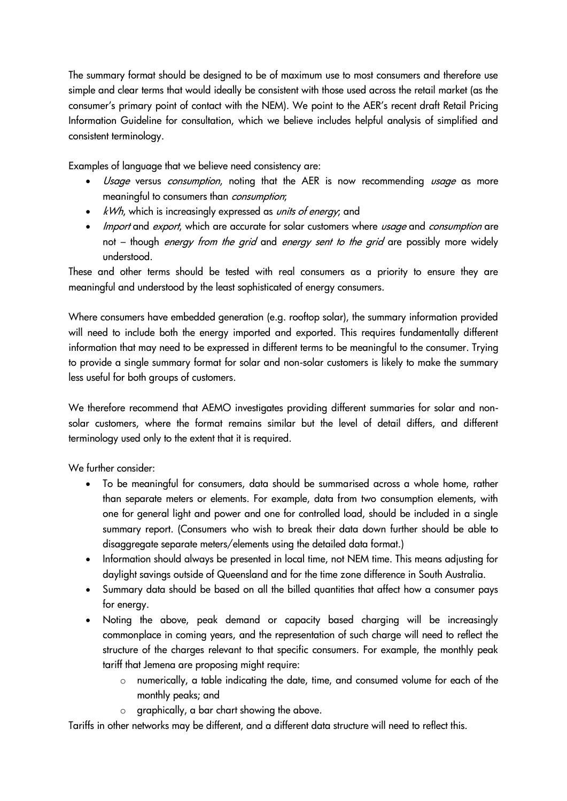The summary format should be designed to be of maximum use to most consumers and therefore use simple and clear terms that would ideally be consistent with those used across the retail market (as the consumer's primary point of contact with the NEM). We point to the AER's recent draft Retail Pricing Information Guideline for consultation, which we believe includes helpful analysis of simplified and consistent terminology.

Examples of language that we believe need consistency are:

- Usage versus consumption, noting that the AER is now recommending usage as more meaningful to consumers than consumption;
- kWh, which is increasingly expressed as *units of energy*; and
- Import and export, which are accurate for solar customers where usage and consumption are not – though *energy from the grid* and *energy sent to the grid* are possibly more widely understood.

These and other terms should be tested with real consumers as a priority to ensure they are meaningful and understood by the least sophisticated of energy consumers.

Where consumers have embedded generation (e.g. rooftop solar), the summary information provided will need to include both the energy imported and exported. This requires fundamentally different information that may need to be expressed in different terms to be meaningful to the consumer. Trying to provide a single summary format for solar and non-solar customers is likely to make the summary less useful for both groups of customers.

We therefore recommend that AEMO investigates providing different summaries for solar and nonsolar customers, where the format remains similar but the level of detail differs, and different terminology used only to the extent that it is required.

We further consider:

- To be meaningful for consumers, data should be summarised across a whole home, rather than separate meters or elements. For example, data from two consumption elements, with one for general light and power and one for controlled load, should be included in a single summary report. (Consumers who wish to break their data down further should be able to disaggregate separate meters/elements using the detailed data format.)
- Information should always be presented in local time, not NEM time. This means adjusting for daylight savings outside of Queensland and for the time zone difference in South Australia.
- Summary data should be based on all the billed quantities that affect how a consumer pays for energy.
- Noting the above, peak demand or capacity based charging will be increasingly commonplace in coming years, and the representation of such charge will need to reflect the structure of the charges relevant to that specific consumers. For example, the monthly peak tariff that Jemena are proposing might require:
	- o numerically, a table indicating the date, time, and consumed volume for each of the monthly peaks; and
	- $\circ$  graphically, a bar chart showing the above.

Tariffs in other networks may be different, and a different data structure will need to reflect this.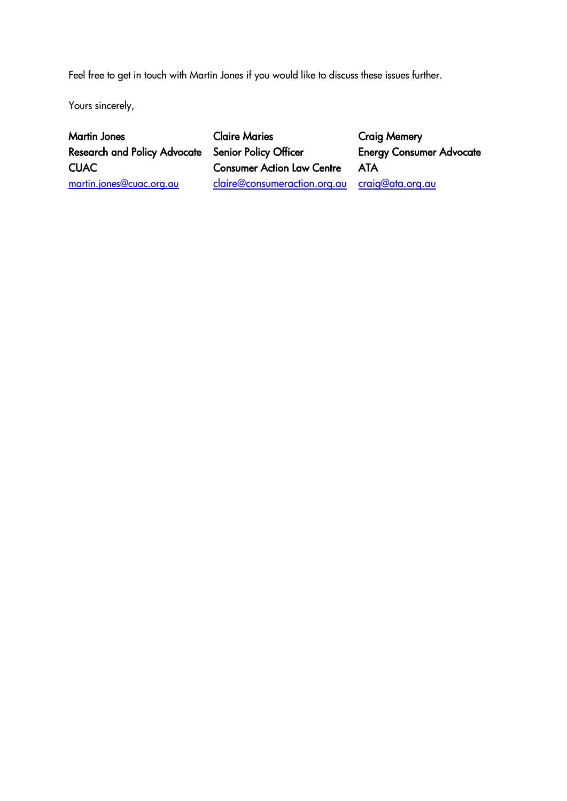Feel free to get in touch with Martin Jones if you would like to discuss these issues further.

Yours sincerely,

Martin Jones Research and Policy Advocate **CUAC** [martin.jones@cuac.org.au](mailto:martin.jones@cuac.org.au)

Claire Maries Senior Policy Officer Consumer Action Law Centre [claire@consumeraction.org.au](mailto:claire@consumeraction.org.au) [craig@ata.org.au](mailto:craig@ata.org.au)

Craig Memery Energy Consumer Advocate ATA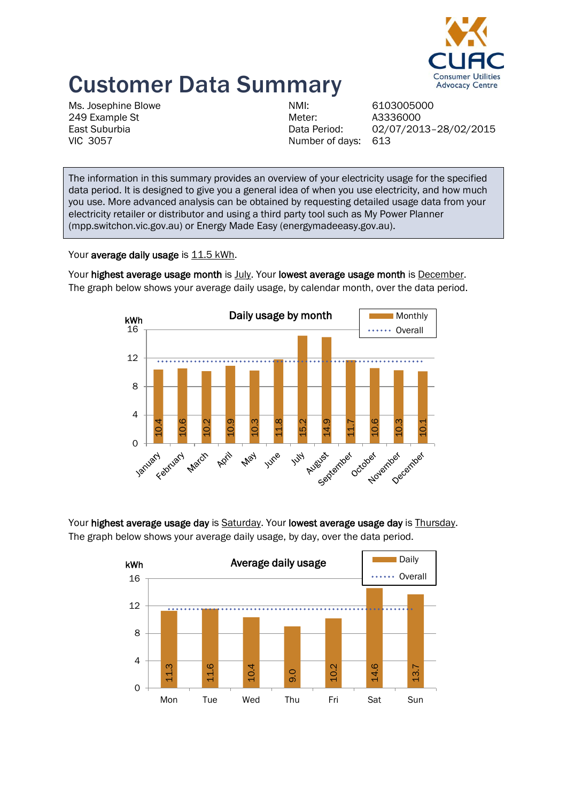

## Customer Data Summary

Ms. Josephine Blowe 249 Example St East Suburbia VIC 3057

NMI: 6103005000 Meter: A3336000 Number of days: 613

Data Period: 02/07/2013–28/02/2015

The information in this summary provides an overview of your electricity usage for the specified data period. It is designed to give you a general idea of when you use electricity, and how much you use. More advanced analysis can be obtained by requesting detailed usage data from your electricity retailer or distributor and using a third party tool such as My Power Planner (mpp.switchon.vic.gov.au) or Energy Made Easy (energymadeeasy.gov.au).

Your average daily usage is 11.5 kWh.



Your highest average usage month is July. Your lowest average usage month is December. The graph below shows your average daily usage, by calendar month, over the data period.

Your highest average usage day is Saturday. Your lowest average usage day is Thursday.